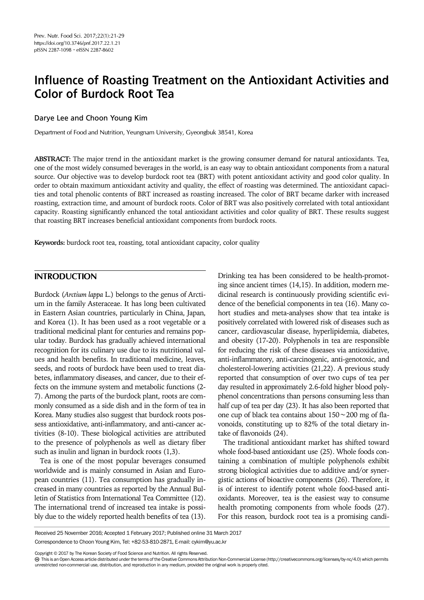# Influence of Roasting Treatment on the Antioxidant Activities and Color of Burdock Root Tea

# Darye Lee and Choon Young Kim

Department of Food and Nutrition, Yeungnam University, Gyeongbuk 38541, Korea

ABSTRACT: The major trend in the antioxidant market is the growing consumer demand for natural antioxidants. Tea, one of the most widely consumed beverages in the world, is an easy way to obtain antioxidant components from a natural source. Our objective was to develop burdock root tea (BRT) with potent antioxidant activity and good color quality. In order to obtain maximum antioxidant activity and quality, the effect of roasting was determined. The antioxidant capacities and total phenolic contents of BRT increased as roasting increased. The color of BRT became darker with increased roasting, extraction time, and amount of burdock roots. Color of BRT was also positively correlated with total antioxidant capacity. Roasting significantly enhanced the total antioxidant activities and color quality of BRT. These results suggest that roasting BRT increases beneficial antioxidant components from burdock roots.

Keywords: burdock root tea, roasting, total antioxidant capacity, color quality

# INTRODUCTION

Burdock (Arctium lappa L.) belongs to the genus of Arctium in the family Asteraceae. It has long been cultivated in Eastern Asian countries, particularly in China, Japan, and Korea (1). It has been used as a root vegetable or a traditional medicinal plant for centuries and remains popular today. Burdock has gradually achieved international recognition for its culinary use due to its nutritional values and health benefits. In traditional medicine, leaves, seeds, and roots of burdock have been used to treat diabetes, inflammatory diseases, and cancer, due to their effects on the immune system and metabolic functions (2- 7). Among the parts of the burdock plant, roots are commonly consumed as a side dish and in the form of tea in Korea. Many studies also suggest that burdock roots possess antioxidative, anti-inflammatory, and anti-cancer activities (8-10). These biological activities are attributed to the presence of polyphenols as well as dietary fiber such as inulin and lignan in burdock roots (1,3).

Tea is one of the most popular beverages consumed worldwide and is mainly consumed in Asian and European countries (11). Tea consumption has gradually increased in many countries as reported by the Annual Bulletin of Statistics from International Tea Committee (12). The international trend of increased tea intake is possibly due to the widely reported health benefits of tea (13).

Drinking tea has been considered to be health-promoting since ancient times (14,15). In addition, modern medicinal research is continuously providing scientific evidence of the beneficial components in tea (16). Many cohort studies and meta-analyses show that tea intake is positively correlated with lowered risk of diseases such as cancer, cardiovascular disease, hyperlipidemia, diabetes, and obesity (17-20). Polyphenols in tea are responsible for reducing the risk of these diseases via antioxidative, anti-inflammatory, anti-carcinogenic, anti-genotoxic, and cholesterol-lowering activities (21,22). A previous study reported that consumption of over two cups of tea per day resulted in approximately 2.6-fold higher blood polyphenol concentrations than persons consuming less than half cup of tea per day (23). It has also been reported that one cup of black tea contains about 150∼200 mg of flavonoids, constituting up to 82% of the total dietary intake of flavonoids (24).

The traditional antioxidant market has shifted toward whole food-based antioxidant use (25). Whole foods containing a combination of multiple polyphenols exhibit strong biological activities due to additive and/or synergistic actions of bioactive components (26). Therefore, it is of interest to identify potent whole food-based antioxidants. Moreover, tea is the easiest way to consume health promoting components from whole foods (27). For this reason, burdock root tea is a promising candi-

Received 25 November 2016; Accepted 1 February 2017; Published online 31 March 2017 Correspondence to Choon Young Kim, Tel: +82-53-810-2871, E-mail: cykim@yu.ac.kr

Copyright © 2017 by The Korean Society of Food Science and Nutrition. All rights Reserved.

This is an Open Access article distributed under the terms of the Creative Commons Attribution Non-Commercial License (http://creativecommons.org/licenses/by-nc/4.0) which permits unrestricted non-commercial use, distribution, and reproduction in any medium, provided the original work is properly cited.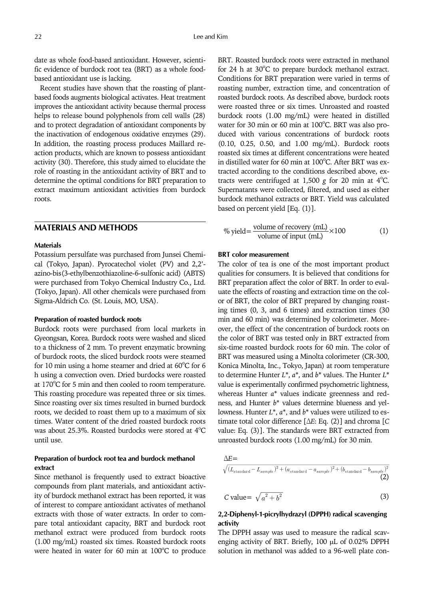date as whole food-based antioxidant. However, scientific evidence of burdock root tea (BRT) as a whole foodbased antioxidant use is lacking.

Recent studies have shown that the roasting of plantbased foods augments biological activates. Heat treatment improves the antioxidant activity because thermal process helps to release bound polyphenols from cell walls (28) and to protect degradation of antioxidant components by the inactivation of endogenous oxidative enzymes (29). In addition, the roasting process produces Maillard reaction products, which are known to possess antioxidant activity (30). Therefore, this study aimed to elucidate the role of roasting in the antioxidant activity of BRT and to determine the optimal conditions for BRT preparation to extract maximum antioxidant activities from burdock roots.

# MATERIALS AND METHODS

#### **Materials**

Potassium persulfate was purchased from Junsei Chemical (Tokyo, Japan). Pyrocatechol violet (PV) and 2,2' azino-bis(3-ethylbenzothiazoline-6-sulfonic acid) (ABTS) were purchased from Tokyo Chemical Industry Co., Ltd. (Tokyo, Japan). All other chemicals were purchased from Sigma-Aldrich Co. (St. Louis, MO, USA).

#### Preparation of roasted burdock roots

Burdock roots were purchased from local markets in Gyeongsan, Korea. Burdock roots were washed and sliced to a thickness of 2 mm. To prevent enzymatic browning of burdock roots, the sliced burdock roots were steamed for 10 min using a home steamer and dried at  $60^{\circ}$ C for 6 h using a convection oven. Dried burdocks were roasted at 170°C for 5 min and then cooled to room temperature. This roasting procedure was repeated three or six times. Since roasting over six times resulted in burned burdock roots, we decided to roast them up to a maximum of six times. Water content of the dried roasted burdock roots was about 25.3%. Roasted burdocks were stored at  $4^{\circ}$ C until use.

## Preparation of burdock root tea and burdock methanol extract

Since methanol is frequently used to extract bioactive compounds from plant materials, and antioxidant activity of burdock methanol extract has been reported, it was of interest to compare antioxidant activates of methanol extracts with those of water extracts. In order to compare total antioxidant capacity, BRT and burdock root methanol extract were produced from burdock roots (1.00 mg/mL) roasted six times. Roasted burdock roots were heated in water for  $60$  min at  $100^{\circ}$ C to produce

BRT. Roasted burdock roots were extracted in methanol for 24 h at 30°C to prepare burdock methanol extract. Conditions for BRT preparation were varied in terms of roasting number, extraction time, and concentration of roasted burdock roots. As described above, burdock roots were roasted three or six times. Unroasted and roasted burdock roots (1.00 mg/mL) were heated in distilled water for 30 min or 60 min at 100°C. BRT was also produced with various concentrations of burdock roots (0.10, 0.25, 0.50, and 1.00 mg/mL). Burdock roots roasted six times at different concentrations were heated in distilled water for 60 min at 100°C. After BRT was extracted according to the conditions described above, extracts were centrifuged at 1,500  $g$  for 20 min at  $4^{\circ}$ C.<br>Supernatents were collected, filtered, and used as either Supernatants were collected, filtered, and used as either burdock methanol extracts or BRT. Yield was calculated based on percent yield [Eq. (1)].

$$
\% yield = \frac{volume \space of \space recovery \space (mL)}{volume \space of \space input \space (mL)} \times 100 \tag{1}
$$

#### BRT color measurement

The color of tea is one of the most important product qualities for consumers. It is believed that conditions for BRT preparation affect the color of BRT. In order to evaluate the effects of roasting and extraction time on the color of BRT, the color of BRT prepared by changing roasting times (0, 3, and 6 times) and extraction times (30 min and 60 min) was determined by colorimeter. Moreover, the effect of the concentration of burdock roots on the color of BRT was tested only in BRT extracted from six-time roasted burdock roots for 60 min. The color of BRT was measured using a Minolta colorimeter (CR-300, Konica Minolta, Inc., Tokyo, Japan) at room temperature to determine Hunter  $L^*$ ,  $a^*$ , and  $b^*$  values. The Hunter  $L^*$ value is experimentally confirmed psychometric lightness, whereas Hunter a\* values indicate greenness and redness, and Hunter b\* values determine blueness and yellowness. Hunter  $L^*$ ,  $a^*$ , and  $b^*$  values were utilized to estimate total color difference [ΔE: Eq. (2)] and chroma [C value: Eq. (3)]. The standards were BRT extracted from unroasted burdock roots (1.00 mg/mL) for 30 min. n<br>
The Sample of the Sample Conditions for BRT pasting number, ext<br>
asted burdock roots TBRT pasting number, ext<br>
asted burdock roots (1.00<br>
ater for 30 min or 6<br>
ater for 30 min or 6<br>
ater for 30 min or 6<br>
ater for 30 mi

 $\begin{aligned} \Delta E & = \\ \sqrt{(L_{\text{standard}} - L_{sample})^2 + (a_{\text{standard}} - a_{sample})^2 + (b_{\text{standard}} - b_{sample})^2} \end{aligned}$ (2)

$$
C value = \sqrt{a^2 + b^2} \tag{3}
$$

## 2,2-Diphenyl-1-picrylhydrazyl (DPPH) radical scavenging activity

The DPPH assay was used to measure the radical scavenging activity of BRT. Briefly, 100 µL of 0.02% DPPH solution in methanol was added to a 96-well plate con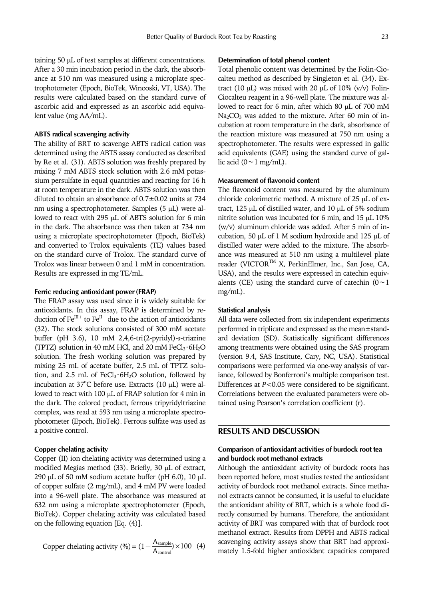taining 50 µL of test samples at different concentrations. After a 30 min incubation period in the dark, the absorbance at 510 nm was measured using a microplate spectrophotometer (Epoch, BioTek, Winooski, VT, USA). The results were calculated based on the standard curve of ascorbic acid and expressed as an ascorbic acid equivalent value (mg AA/mL).

#### ABTS radical scavenging activity

The ability of BRT to scavenge ABTS radical cation was determined using the ABTS assay conducted as described by Re et al. (31). ABTS solution was freshly prepared by mixing 7 mM ABTS stock solution with 2.6 mM potassium persulfate in equal quantities and reacting for 16 h at room temperature in the dark. ABTS solution was then diluted to obtain an absorbance of 0.7±0.02 units at 734 nm using a spectrophotometer. Samples (5 µL) were allowed to react with 295 µL of ABTS solution for 6 min in the dark. The absorbance was then taken at 734 nm using a microplate spectrophotometer (Epoch, BioTek) and converted to Trolox equivalents (TE) values based on the standard curve of Trolox. The standard curve of Trolox was linear between 0 and 1 mM in concentration. Results are expressed in mg TE/mL.

#### Ferric reducing antioxidant power (FRAP)

The FRAP assay was used since it is widely suitable for antioxidants. In this assay, FRAP is determined by reduction of  $\text{Fe}^{\text{III+}}$  to  $\text{Fe}^{\text{II+}}$  due to the action of antioxidants (32). The stock solutions consisted of 300 mM acetate buffer (pH 3.6), 10 mM 2,4,6-tri(2-pyridyl)-s-triazine (TPTZ) solution in 40 mM HCl, and 20 mM FeCl<sub>3</sub> $\cdot$ 6H<sub>2</sub>O solution. The fresh working solution was prepared by mixing 25 mL of acetate buffer, 2.5 mL of TPTZ solution, and 2.5 mL of  $FeCl<sub>3</sub>·6H<sub>2</sub>O$  solution, followed by incubation at  $37^{\circ}$ C before use. Extracts (10 µL) were allowed to react with 100  $\mu$ L of FRAP solution for 4 min in the dark. The colored product, ferrous tripyridyltriazine complex, was read at 593 nm using a microplate spectrophotometer (Epoch, BioTek). Ferrous sulfate was used as a positive control.

#### Copper chelating activity

Copper (II) ion chelating activity was determined using a modified Megías method (33). Briefly, 30 µL of extract, 290 µL of 50 mM sodium acetate buffer (pH 6.0), 10 µL of copper sulfate (2 mg/mL), and 4 mM PV were loaded into a 96-well plate. The absorbance was measured at 632 nm using a microplate spectrophotometer (Epoch, BioTek). Copper chelating activity was calculated based on the following equation [Eq. (4)].

Copper chelating activity (
$$
\% = (1 - \frac{A_{sample}}{A_{control}}) \times 100
$$
 (4)

#### Determination of total phenol content

Total phenolic content was determined by the Folin-Ciocalteu method as described by Singleton et al. (34). Extract (10  $\mu$ L) was mixed with 20  $\mu$ L of 10% (v/v) Folin-Ciocalteu reagent in a 96-well plate. The mixture was allowed to react for 6 min, after which 80 µL of 700 mM Na<sub>2</sub>CO<sub>3</sub> was added to the mixture. After 60 min of incubation at room temperature in the dark, absorbance of the reaction mixture was measured at 750 nm using a spectrophotometer. The results were expressed in gallic acid equivalents (GAE) using the standard curve of gal-lic acid (0∼1 mg/mL).

## Measurement of flavonoid content

The flavonoid content was measured by the aluminum chloride colorimetric method. A mixture of 25 µL of extract, 125 µL of distilled water, and 10 µL of 5% sodium nitrite solution was incubated for 6 min, and 15 µL 10% (w/v) aluminum chloride was added. After 5 min of incubation, 50 µL of 1 M sodium hydroxide and 125 µL of distilled water were added to the mixture. The absorbance was measured at 510 nm using a multilevel plate reader (VICTORTM X, PerkinElmer, Inc., San Jose, CA, USA), and the results were expressed in catechin equiv-alents (CE) using the standard curve of catechin (0∼<sup>1</sup> mg/mL).

#### Statistical analysis

All data were collected from six independent experiments performed in triplicate and expressed as the mean±standard deviation (SD). Statistically significant differences among treatments were obtained using the SAS program (version 9.4, SAS Institute, Cary, NC, USA). Statistical comparisons were performed via one-way analysis of variance, followed by Bonferroni's multiple comparison test. Differences at  $P<0.05$  were considered to be significant. Correlations between the evaluated parameters were obtained using Pearson's correlation coefficient (r).

## RESULTS AND DISCUSSION

## Comparison of antioxidant activities of burdock root tea and burdock root methanol extracts

Although the antioxidant activity of burdock roots has been reported before, most studies tested the antioxidant activity of burdock root methanol extracts. Since methanol extracts cannot be consumed, it is useful to elucidate the antioxidant ability of BRT, which is a whole food directly consumed by humans. Therefore, the antioxidant activity of BRT was compared with that of burdock root methanol extract. Results from DPPH and ABTS radical scavenging activity assays show that BRT had approximately 1.5-fold higher antioxidant capacities compared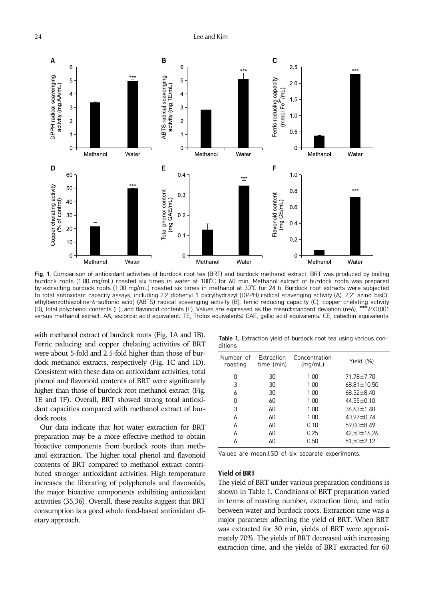24 **Lee and Kim** 



Fig. 1. Comparison of antioxidant activities of burdock root tea (BRT) and burdock methanol extract. BRT was produced by boiling burdock roots (1.00 mg/mL) roasted six times in water at 100°C for 60 min. Methanol extract of burdock roots was prepared by extracting burdock roots (1.00 mg/mL) roasted six times in methanol at 30°C for 24 h. Burdock root extracts were subjected to total antioxidant capacity assays, including 2,2-diphenyl-1-picrylhydrazyl (DPPH) radical scavenging activity (A), 2,2'-azino-bis(3 ethylbenzothiazoline-6-sulfonic acid) (ABTS) radical scavenging activity (B), ferric reducing capacity (C), copper chelating activity (D), total polyphenol contents (E), and flavonoid contents (F). Values are expressed as the mean±standard deviation (n=6). \*\*\*P<0.001 versus methanol extract. AA, ascorbic acid equivalent; TE, Trolox equivalents; GAE, gallic acid equivalents; CE, catechin equivalents.

with methanol extract of burdock roots (Fig. 1A and 1B). Ferric reducing and copper chelating activities of BRT were about 5-fold and 2.5-fold higher than those of burdock methanol extracts, respectively (Fig. 1C and 1D). Consistent with these data on antioxidant activities, total phenol and flavonoid contents of BRT were significantly higher than those of burdock root methanol extract (Fig. 1E and 1F). Overall, BRT showed strong total antioxidant capacities compared with methanol extract of burdock roots.

Our data indicate that hot water extraction for BRT preparation may be a more effective method to obtain bioactive components from burdock roots than methanol extraction. The higher total phenol and flavonoid contents of BRT compared to methanol extract contributed stronger antioxidant activities. High temperature increases the liberating of polyphenols and flavonoids, the major bioactive components exhibiting antioxidant activities (35,36). Overall, these results suggest that BRT consumption is a good whole food-based antioxidant dietary approach.

Table 1. Extraction yield of burdock root tea using various conditions

| Number of<br>roasting | Extraction<br>time (min) | Concentration<br>(mq/mL) | Yield (%)   |
|-----------------------|--------------------------|--------------------------|-------------|
| O                     | 30                       | 1.00                     | 71.78±7.70  |
| 3                     | 30                       | 1.00                     | 68.81±10.50 |
| 6                     | 30                       | 1.00                     | 68.32±8.40  |
| O                     | 60                       | 1.00                     | 44.55±0.10  |
| 3                     | 60                       | 1.00                     | 36.63±1.40  |
| 6                     | 60                       | 1.00                     | 40.97±0.74  |
| 6                     | 60                       | 0.10                     | 59.00±8.49  |
| 6                     | 60                       | 0.25                     | 42.50±16.26 |
| 6                     | 60                       | 0.50                     | 51.50±2.12  |

Values are mean±SD of six separate experiments.

#### Yield of BRT

The yield of BRT under various preparation conditions is shown in Table 1. Conditions of BRT preparation varied in terms of roasting number, extraction time, and ratio between water and burdock roots. Extraction time was a major parameter affecting the yield of BRT. When BRT was extracted for 30 min, yields of BRT were approximately 70%. The yields of BRT decreased with increasing extraction time, and the yields of BRT extracted for 60

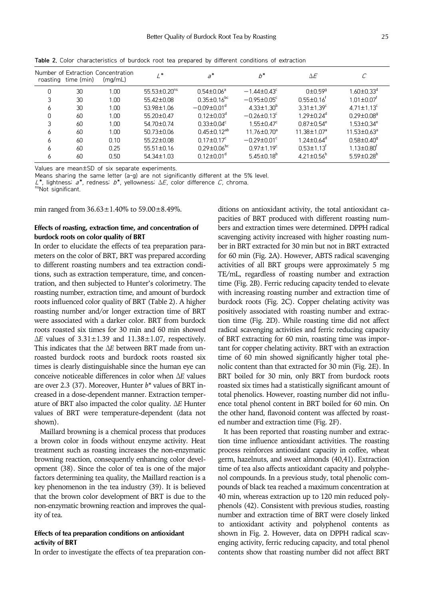|   | roasting time (min) | Number of Extraction Concentration<br>(mq/mL) | $\prime^*$                     | $a^*$                         | $b^*$                         | ΔE                            |                               |
|---|---------------------|-----------------------------------------------|--------------------------------|-------------------------------|-------------------------------|-------------------------------|-------------------------------|
| 0 | 30                  | 1.00                                          | $55.53 \pm 0.20$ <sup>ns</sup> | $0.54 \pm 0.06$ <sup>a</sup>  | $-1.44 \pm 0.43^{\circ}$      | $0\pm 0.59$ <sup>9</sup>      | $1.60 \pm 0.33$ <sup>d</sup>  |
|   | 30                  | 1.00                                          | 55.42±0.08                     | $0.35 \pm 0.16$ <sup>bc</sup> | $-0.95 \pm 0.05$ <sup>c</sup> | $0.55 \pm 0.16$ <sup>t</sup>  | $1.01{\pm}0.07^\dagger$       |
| 6 | 30                  | 1.00                                          | 53.98±1.06                     | $-0.09 \pm 0.01$ <sup>d</sup> | $4.33 \pm 1.30^b$             | $3.31 \pm 1.39^c$             | $4.71 \pm 1.13^c$             |
| 0 | 60                  | 1.00                                          | 55.20±0.47                     | $0.12 \pm 0.03$ <sup>d</sup>  | $-0.26 \pm 0.13$ <sup>c</sup> | $1.29 \pm 0.24$ <sup>d</sup>  | $0.29 \pm 0.08$ <sup>g</sup>  |
| 3 | 60                  | 1.00                                          | 54.70±0.74                     | $0.33 \pm 0.04$ <sup>c</sup>  | $1.55 \pm 0.47^c$             | $0.87 \pm 0.54$ <sup>e</sup>  | $1.53 \pm 0.34^e$             |
| 6 | 60                  | 1.00                                          | 50.73±0.06                     | $0.45 \pm 0.12^{ab}$          | $11.76 \pm 0.70$ <sup>a</sup> | $11.38 \pm 1.07$ <sup>a</sup> | $11.53 \pm 0.63$ <sup>a</sup> |
| 6 | 60                  | 0.10                                          | 55.22±0.08                     | $0.17 \pm 0.17^c$             | $-0.29 \pm 0.01$ <sup>c</sup> | $1.24 \pm 0.64^{\circ}$       | $0.58 \pm 0.40$ <sup>9</sup>  |
| 6 | 60                  | 0.25                                          | $55.51 \pm 0.16$               | $0.29 \pm 0.06$ <sup>bc</sup> | $0.97 \pm 1.19^c$             | $0.53 \pm 1.13$ <sup>r</sup>  | $1.13 \pm 0.80^{\dagger}$     |
| 6 | 60                  | 0.50                                          | 54.34±1.03                     | $0.12 \pm 0.01$ <sup>a</sup>  | $5.45 \pm 0.18^{\circ}$       | $4.21 \pm 0.56^{\circ}$       | $5.59 \pm 0.28$ <sup>b</sup>  |

Table 2. Color characteristics of burdock root tea prepared by different conditions of extraction

Values are mean±SD of six separate experiments.

Means sharing the same letter (a-g) are not significantly different at the 5% level.

 $L^*$ , lightness;  $a^*$ , redness;  $b^*$ , yellowness;  $\Delta E$ , color difference C, chroma.<br><sup>ns</sup>Not significant.

min ranged from  $36.63 \pm 1.40\%$  to  $59.00 \pm 8.49\%$ .

## Effects of roasting, extraction time, and concentration of burdock roots on color quality of BRT

In order to elucidate the effects of tea preparation parameters on the color of BRT, BRT was prepared according to different roasting numbers and tea extraction conditions, such as extraction temperature, time, and concentration, and then subjected to Hunter's colorimetry. The roasting number, extraction time, and amount of burdock roots influenced color quality of BRT (Table 2). A higher roasting number and/or longer extraction time of BRT were associated with a darker color. BRT from burdock roots roasted six times for 30 min and 60 min showed  $\Delta E$  values of  $3.31 \pm 1.39$  and  $11.38 \pm 1.07$ , respectively. This indicates that the ΔE between BRT made from unroasted burdock roots and burdock roots roasted six times is clearly distinguishable since the human eye can conceive noticeable differences in color when ΔE values are over 2.3 (37). Moreover, Hunter  $b^*$  values of BRT increased in a dose-dependent manner. Extraction temperature of BRT also impacted the color quality. ΔE Hunter values of BRT were temperature-dependent (data not shown).

Maillard browning is a chemical process that produces a brown color in foods without enzyme activity. Heat treatment such as roasting increases the non-enzymatic browning reaction, consequently enhancing color development (38). Since the color of tea is one of the major factors determining tea quality, the Maillard reaction is a key phenomenon in the tea industry (39). It is believed that the brown color development of BRT is due to the non-enzymatic browning reaction and improves the quality of tea.

## Effects of tea preparation conditions on antioxidant activity of BRT

In order to investigate the effects of tea preparation con-

ditions on antioxidant activity, the total antioxidant capacities of BRT produced with different roasting numbers and extraction times were determined. DPPH radical scavenging activity increased with higher roasting number in BRT extracted for 30 min but not in BRT extracted for 60 min (Fig. 2A). However, ABTS radical scavenging activities of all BRT groups were approximately 5 mg TE/mL, regardless of roasting number and extraction time (Fig. 2B). Ferric reducing capacity tended to elevate with increasing roasting number and extraction time of burdock roots (Fig. 2C). Copper chelating activity was positively associated with roasting number and extraction time (Fig. 2D). While roasting time did not affect radical scavenging activities and ferric reducing capacity of BRT extracting for 60 min, roasting time was important for copper chelating activity. BRT with an extraction time of 60 min showed significantly higher total phenolic content than that extracted for 30 min (Fig. 2E). In BRT boiled for 30 min, only BRT from burdock roots roasted six times had a statistically significant amount of total phenolics. However, roasting number did not influence total phenol content in BRT boiled for 60 min. On the other hand, flavonoid content was affected by roasted number and extraction time (Fig. 2F).

It has been reported that roasting number and extraction time influence antioxidant activities. The roasting process reinforces antioxidant capacity in coffee, wheat germ, hazelnuts, and sweet almonds (40,41). Extraction time of tea also affects antioxidant capacity and polyphenol compounds. In a previous study, total phenolic compounds of black tea reached a maximum concentration at 40 min, whereas extraction up to 120 min reduced polyphenols (42). Consistent with previous studies, roasting number and extraction time of BRT were closely linked to antioxidant activity and polyphenol contents as shown in Fig. 2. However, data on DPPH radical scavenging activity, ferric reducing capacity, and total phenol contents show that roasting number did not affect BRT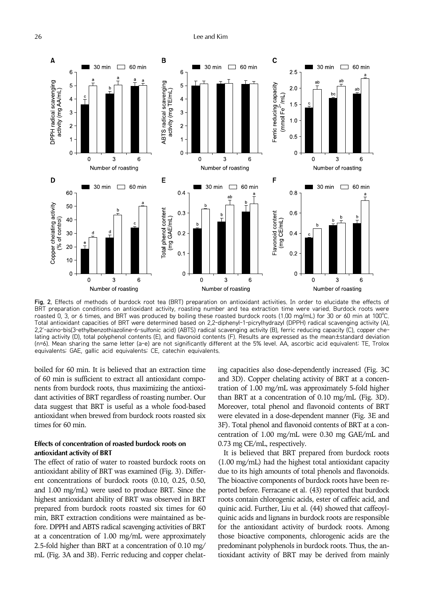

Fig. 2. Effects of methods of burdock root tea (BRT) preparation on antioxidant activities. In order to elucidate the effects of BRT preparation conditions on antioxidant activity, roasting number and tea extraction time were varied. Burdock roots were roasted 0, 3, or 6 times, and BRT was produced by boiling these roasted burdock roots (1.00 mg/mL) for 30 or 60 min at 100°C. Total antioxidant capacities of BRT were determined based on 2,2-diphenyl-1-picrylhydrazyl (DPPH) radical scavenging activity (A), 2,2'-azino-bis(3-ethylbenzothiazoline-6-sulfonic acid) (ABTS) radical scavenging activity (B), ferric reducing capacity (C), copper chelating activity (D), total polyphenol contents (E), and flavonoid contents (F). Results are expressed as the mean±standard deviation (n=6). Mean sharing the same letter (a-e) are not significantly different at the 5% level. AA, ascorbic acid equivalent; TE, Trolox equivalents; GAE, gallic acid equivalents; CE, catechin equivalents.

boiled for 60 min. It is believed that an extraction time of 60 min is sufficient to extract all antioxidant components from burdock roots, thus maximizing the antioxidant activities of BRT regardless of roasting number. Our data suggest that BRT is useful as a whole food-based antioxidant when brewed from burdock roots roasted six times for 60 min.

## Effects of concentration of roasted burdock roots on antioxidant activity of BRT

The effect of ratio of water to roasted burdock roots on antioxidant ability of BRT was examined (Fig. 3). Different concentrations of burdock roots (0.10, 0.25, 0.50, and 1.00 mg/mL) were used to produce BRT. Since the highest antioxidant ability of BRT was observed in BRT prepared from burdock roots roasted six times for 60 min, BRT extraction conditions were maintained as before. DPPH and ABTS radical scavenging activities of BRT at a concentration of 1.00 mg/mL were approximately 2.5-fold higher than BRT at a concentration of 0.10 mg/ mL (Fig. 3A and 3B). Ferric reducing and copper chelating capacities also dose-dependently increased (Fig. 3C and 3D). Copper chelating activity of BRT at a concentration of 1.00 mg/mL was approximately 5-fold higher than BRT at a concentration of 0.10 mg/mL (Fig. 3D). Moreover, total phenol and flavonoid contents of BRT were elevated in a dose-dependent manner (Fig. 3E and 3F). Total phenol and flavonoid contents of BRT at a concentration of 1.00 mg/mL were 0.30 mg GAE/mL and 0.73 mg CE/mL, respectively.

It is believed that BRT prepared from burdock roots (1.00 mg/mL) had the highest total antioxidant capacity due to its high amounts of total phenols and flavonoids. The bioactive components of burdock roots have been reported before. Ferracane et al. (43) reported that burdock roots contain chlorogenic acids, ester of caffeic acid, and quinic acid. Further, Liu et al. (44) showed that caffeoylquinic acids and lignans in burdock roots are responsible for the antioxidant activity of burdock roots. Among those bioactive components, chlorogenic acids are the predominant polyphenols in burdock roots. Thus, the antioxidant activity of BRT may be derived from mainly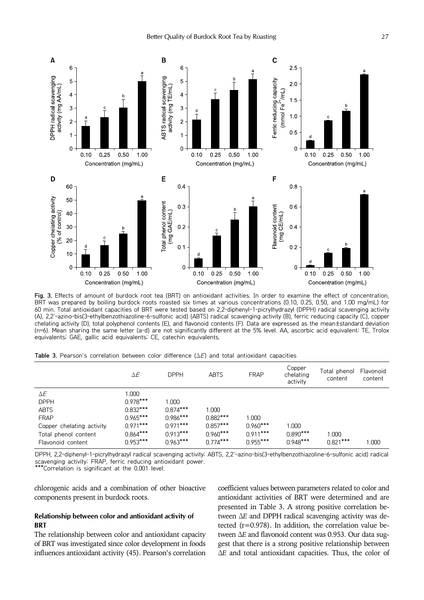

Fig. 3. Effects of amount of burdock root tea (BRT) on antioxidant activities. In order to examine the effect of concentration, BRT was prepared by boiling burdock roots roasted six times at various concentrations (0.10, 0.25, 0.50, and 1.00 mg/mL) for 60 min. Total antioxidant capacities of BRT were tested based on 2,2-diphenyl-1-picrylhydrazyl (DPPH) radical scavenging activity (A), 2,2'-azino-bis(3-ethylbenzothiazoline-6-sulfonic acid) (ABTS) radical scavenging activity (B), ferric reducing capacity (C), copper chelating activity (D), total polyphenol contents (E), and flavonoid contents (F). Data are expressed as the mean±standard deviation (n=6). Mean sharing the same letter (a-d) are not significantly different at the 5% level. AA, ascorbic acid equivalent; TE, Trolox equivalents; GAE, gallic acid equivalents; CE, catechin equivalents.

|  |  |  |  |  |  |  |  |  |  | <b>Table 3.</b> Pearson's correlation between color difference ( $\Delta E$ ) and total antioxidant capacities |  |
|--|--|--|--|--|--|--|--|--|--|----------------------------------------------------------------------------------------------------------------|--|
|--|--|--|--|--|--|--|--|--|--|----------------------------------------------------------------------------------------------------------------|--|

|                           | $\Delta E$ | <b>DPPH</b> | <b>ABTS</b> | <b>FRAP</b> | Copper<br>chelating<br>activity | Total phenol<br>content | Flavonoid<br>content |
|---------------------------|------------|-------------|-------------|-------------|---------------------------------|-------------------------|----------------------|
| ΔE                        | 1.000      |             |             |             |                                 |                         |                      |
| <b>DPPH</b>               | $0.978***$ | 1.000       |             |             |                                 |                         |                      |
| <b>ABTS</b>               | $0.832***$ | $0.874***$  | 1.000       |             |                                 |                         |                      |
| <b>FRAP</b>               | $0.965***$ | $0.986***$  | $0.882***$  | 1.000       |                                 |                         |                      |
| Copper chelating activity | $0.971***$ | $0.971***$  | $0.857***$  | $0.960***$  | 1.000                           |                         |                      |
| Total phenol content      | $0.864***$ | $0.913***$  | $0.960***$  | $0.911***$  | $0.890***$                      | 1.000                   |                      |
| Flavonoid content         | $0.953***$ | $0.963***$  | $0.774***$  | $0.955***$  | $0.948***$                      | $0.821***$              | 1.000                |

DPPH, 2,2-diphenyl-1-picrylhydrazyl radical scavenging activity; ABTS, 2,2'-azino-bis(3-ethylbenzothiazoline-6-sulfonic acid) radical scavenging activity; FRAP, ferric reducing antioxidant power.

 $*$ Correlation is significant at the 0.001 level.

chlorogenic acids and a combination of other bioactive components present in burdock roots.

## Relationship between color and antioxidant activity of **BRT**

The relationship between color and antioxidant capacity of BRT was investigated since color development in foods influences antioxidant activity (45). Pearson's correlation coefficient values between parameters related to color and antioxidant activities of BRT were determined and are presented in Table 3. A strong positive correlation between ΔE and DPPH radical scavenging activity was detected  $(r=0.978)$ . In addition, the correlation value between ΔE and flavonoid content was 0.953. Our data suggest that there is a strong positive relationship between <sup>Δ</sup>E and total antioxidant capacities. Thus, the color of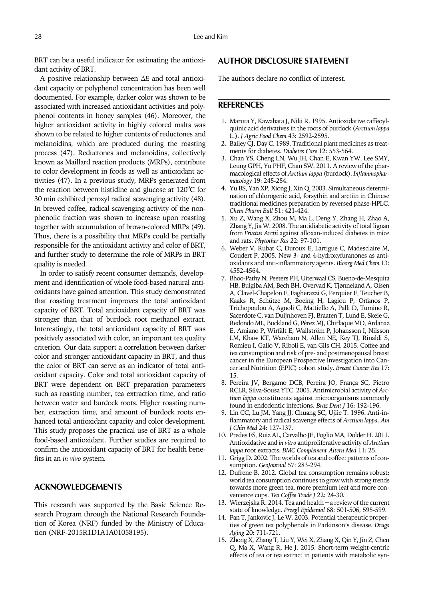BRT can be a useful indicator for estimating the antioxidant activity of BRT.

A positive relationship between ΔE and total antioxidant capacity or polyphenol concentration has been well documented. For example, darker color was shown to be associated with increased antioxidant activities and polyphenol contents in honey samples (46). Moreover, the higher antioxidant activity in highly colored malts was shown to be related to higher contents of reductones and melanoidins, which are produced during the roasting process (47). Reductones and melanoidins, collectively known as Maillard reaction products (MRPs), contribute to color development in foods as well as antioxidant activities (47). In a previous study, MRPs generated from the reaction between histidine and glucose at  $120^{\circ}$ C for 30 min exhibited peroxyl radical scavenging activity (48). In brewed coffee, radical scavenging activity of the nonphenolic fraction was shown to increase upon roasting together with accumulation of brown-colored MRPs (49). Thus, there is a possibility that MRPs could be partially responsible for the antioxidant activity and color of BRT, and further study to determine the role of MRPs in BRT quality is needed.

In order to satisfy recent consumer demands, development and identification of whole food-based natural antioxidants have gained attention. This study demonstrated that roasting treatment improves the total antioxidant capacity of BRT. Total antioxidant capacity of BRT was stronger than that of burdock root methanol extract. Interestingly, the total antioxidant capacity of BRT was positively associated with color, an important tea quality criterion. Our data support a correlation between darker color and stronger antioxidant capacity in BRT, and thus the color of BRT can serve as an indicator of total antioxidant capacity. Color and total antioxidant capacity of BRT were dependent on BRT preparation parameters such as roasting number, tea extraction time, and ratio between water and burdock roots. Higher roasting number, extraction time, and amount of burdock roots enhanced total antioxidant capacity and color development. This study proposes the practical use of BRT as a whole food-based antioxidant. Further studies are required to confirm the antioxidant capacity of BRT for health benefits in an in vivo system.

# ACKNOWLEDGEMENTS

This research was supported by the Basic Science Research Program through the National Research Foundation of Korea (NRF) funded by the Ministry of Education (NRF-2015R1D1A1A01058195).

# AUTHOR DISCLOSURE STATEMENT

The authors declare no conflict of interest.

## **REFERENCES**

- 1. Maruta Y, Kawabata J, Niki R. 1995. Antioxidative caffeoylquinic acid derivatives in the roots of burdock (Arctium lappa L.). J Agric Food Chem 43: 2592-2595.
- 2. Bailey CJ, Day C. 1989. Traditional plant medicines as treatments for diabetes. Diabetes Care 12: 553-564.
- 3. Chan YS, Cheng LN, Wu JH, Chan E, Kwan YW, Lee SMY, Leung GPH, Yu PHF, Chan SW. 2011. A review of the pharmacological effects of Arctium lappa (burdock). Inflammopharmacology 19: 245-254.
- 4. Yu BS, Yan XP, Xiong J, Xin Q. 2003. Simultaneous determination of chlorogenic acid, forsythin and arctiin in Chinese traditional medicines preparation by reversed phase-HPLC. Chem Pharm Bull 51: 421-424.
- 5. Xu Z, Wang X, Zhou M, Ma L, Deng Y, Zhang H, Zhao A, Zhang Y, Jia W. 2008. The antidiabetic activity of total lignan from Fructus Arctii against alloxan-induced diabetes in mice and rats. Phytother Res 22: 97-101.
- 6. Weber V, Rubat C, Duroux E, Lartigue C, Madesclaire M, Coudert P. 2005. New 3- and 4-hydroxyfuranones as antioxidants and anti-inflammatory agents. Bioorg Med Chem 13: 4552-4564.
- 7. Bhoo-Pathy N, Peeters PH, Uiterwaal CS, Bueno-de-Mesquita HB, Bulgiba AM, Bech BH, Overvad K, Tjønneland A, Olsen A, Clavel-Chapelon F, Fagherazzi G, Perquier F, Teucher B, Kaaks R, Schütze M, Boeing H, Lagiou P, Orfanos P, Trichopoulou A, Agnoli C, Mattiello A, Palli D, Tumino R, Sacerdote C, van Duijnhoven FJ, Braaten T, Lund E, Skeie G, Redondo ML, Buckland G, Pérez MJ, Chirlaque MD, Ardanaz E, Amiano P, Wirfält E, Wallström P, Johansson I, Nilsson LM, Khaw KT, Wareham N, Allen NE, Key TJ, Rinaldi S, Romieu I, Gallo V, Riboli E, van Gils CH. 2015. Coffee and tea consumption and risk of pre- and postmenopausal breast cancer in the European Prospective Investigation into Cancer and Nutrition (EPIC) cohort study. Breast Cancer Res 17: 15.
- 8. Pereira JV, Bergamo DCB, Pereira JO, França SC, Pietro RCLR, Silva-Sousa YTC. 2005. Antimicrobial activity of Arctium lappa constituents against microorganisms commonly found in endodontic infections. Braz Dent J 16: 192-196.
- 9. Lin CC, Lu JM, Yang JJ, Chuang SC, Ujiie T. 1996. Anti-inflammatory and radical scavenge effects of Arctium lappa. Am J Chin Med 24: 127-137.
- 10. Predes FS, Ruiz AL, Carvalho JE, Foglio MA, Dolder H. 2011. Antioxidative and in vitro antiproliferative activity of Arctium lappa root extracts. BMC Complement Altern Med 11: 25.
- 11. Grigg D. 2002. The worlds of tea and coffee: patterns of consumption. GeoJournal 57: 283-294.
- 12. Dufrene B. 2012. Global tea consumption remains robust: world tea consumption continues to grow with strong trends towards more green tea, more premium leaf and more convenience cups. Tea Coffee Trade J 22: 24-30.<br>13. Wierzejska R. 2014. Tea and health - a review of the current represent and coffee: patterns of computer and the current Atterns of consumption. GeoJournal 57: 283-294.<br>
12. Dufrene B. 2012. Global tea consumption remains robust:<br>
world tea consumption continues to grow with strong t
- state of knowledge. Przegl Epidemiol 68: 501-506, 595-599.
- 14. Pan T, Jankovic J, Le W. 2003. Potential therapeutic properties of green tea polyphenols in Parkinson's disease. Drugs Aging 20: 711-721.
- 15. Zhong X, Zhang T, Liu Y, Wei X, Zhang X, Qin Y, Jin Z, Chen Q, Ma X, Wang R, He J. 2015. Short-term weight-centric effects of tea or tea extract in patients with metabolic syn-